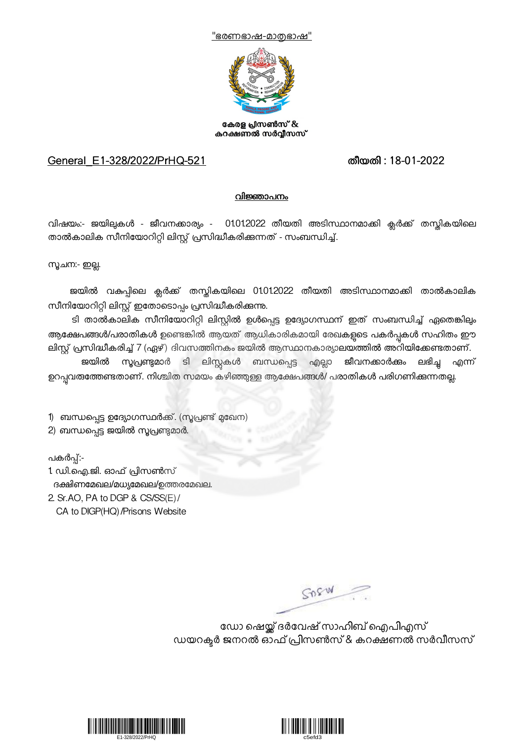



കേരള പ്രിസൺസ് & കറക്ഷണൽ സർവ്വീസസ്

## General\_E1-328/2022/PrHQ-521 തീയതി : 18-01-2022

## <u>വിജ്ഞാപനം</u>

വിഷയം:- ജയിലുകൾ - ജീവനക്കാര്യം - 01.012022 തീയതി അടിസ്ഥാനമാക്കി ക്ലർക്ക് തസ്തികയിലെ താൽകാലിക സീനിയോറിറ്റി ലിസ്റ്റ് പ്രസിദ്ധീകരിക്കുന്നത് - സംബന്ധിച്ച്.

സൂചന:- ഇല്ല.

ജയിൽ വകുപ്പിലെ ക്ലർക്ക് തസ്തികയിലെ 01.01.2022 തീയതി അടിസ്ഥാനമാക്കി താൽകാലിക സീനിയോറിറ്റി ലിസ്റ്റ് ഇതോടൊപ്പം പ്രസിദ്ധീകരിക്കുന്നു.

ടി താൽകാലിക സീനിയോറിറ്റി ലിസ്റ്റിൽ ഉൾപ്പെട്ട ഉദ്യോഗസ്ഥന് ഇത് സംബന്ധിച്ച് ഏതെങ്കിലും ആക്ഷേപങ്ങൾ/പരാതികൾ ഉണ്ടെങ്കിൽ ആയത് ആധികാരികമായി രേഖകളടെ പകർപ്പകൾ സഹിതം ഈ ലിസ്റ്റ് പ്രസിദ്ധീകരിച്ച് 7 (ഏഴ്) ദിവസത്തിനകം ജയിൽ ആസ്ഥാനകാര്യാലയത്തിൽ അറിയിക്കേണ്ടതാണ്. ജയിൽ സൂപ്രണ്ടുമാർ ടി ലിസ്റ്റകൾ ബന്ധപ്പെട്ട എല്ലാ <mark>ജീവനക്കാർക്കം ലഭിച്ച എന്ന്</mark> ഉറപ്പവരത്തേണ്ടതാണ്. നിശ്ചിത സമയം കഴിഞ്ഞുള്ള ആക്ഷേപങ്ങൾ/ പരാതികൾ പരിഗണിക്കുന്നതല്ല.

1) ബന്ധപ്പെട്ട ഉദ്യോഗസ്ഥർക്ക്. (സൂപ്രണ്ട് മുഖേന)

2) ബന്ധപ്പെട്ട ജയിൽ സൂപ്രണ്ടമാർ.

പകർപ്പ്:-

1. ഡി.ഐ.ജി. ഓഫ് \*ിസൺസ് ദക്ഷിണമേഖല/മധ്യമേഖല/ഉത്തരമേഖല. 2. Sr.AO, PA to DGP & CS/SS(E)/

CA to DIGP(HQ)/Prisons Website

SORW

ഡോ ഷെയ്ക് ദർവേഷ് സാഹിബ് ഐപിഎസ് ഡയറക്ടർ ജനറൽ ഓഫ് പ്രിസൺസ് & കറക്ഷണൽ സർവീസസ്



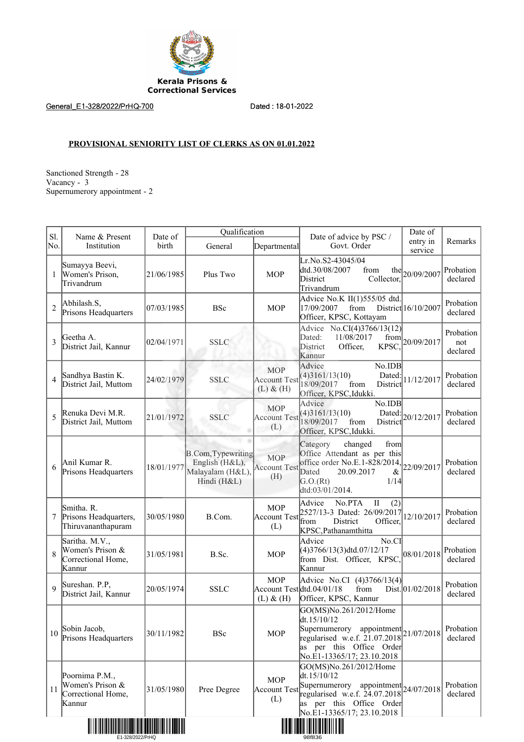

General\_E1-328/2022/PrHQ-700 Dated : 18-01-2022

## **PROVISIONAL SENIORITY LIST OF CLERKS AS ON 01.01.2022**

Sanctioned Strength - 28 Vacancy - 3 Supernumerory appointment - 2

| Sl.            | Name & Present                                                     | Date of    | Qualification                                                           |                                                          | Date of advice by PSC /                                                                                                                                                      | Date of             |                              |
|----------------|--------------------------------------------------------------------|------------|-------------------------------------------------------------------------|----------------------------------------------------------|------------------------------------------------------------------------------------------------------------------------------------------------------------------------------|---------------------|------------------------------|
| No.            | Institution                                                        | birth      | General                                                                 | Departmental                                             | Govt. Order                                                                                                                                                                  | entry in<br>service | Remarks                      |
| 1              | Sumayya Beevi,<br>Women's Prison,<br>Trivandrum                    | 21/06/1985 | Plus Two                                                                | <b>MOP</b>                                               | Lr.No.S2-43045/04<br>dtd.30/08/2007<br>from<br>District<br>Collector.<br>Trivandrum                                                                                          | the $20/09/2007$    | Probation<br>declared        |
| $\overline{2}$ | Abhilash.S,<br>Prisons Headquarters                                | 07/03/1985 | <b>BSc</b>                                                              | <b>MOP</b>                                               | Advice No.K II(1)555/05 dtd.<br>17/09/2007<br>from<br>Officer, KPSC, Kottayam                                                                                                | District 16/10/2007 | Probation<br>declared        |
| 3              | Geetha A.<br>District Jail, Kannur                                 | 02/04/1971 | <b>SSLC</b>                                                             |                                                          | Advice No.CI(4)3766/13(12)<br>Dated:<br>11/08/2017<br>from<br>District<br>Officer,<br>KPSC,<br>Kannur                                                                        | 20/09/2017          | Probation<br>not<br>declared |
| $\overline{4}$ | Sandhya Bastin K.<br>District Jail, Muttom                         | 24/02/1979 | <b>SSLC</b>                                                             | <b>MOP</b><br><b>Account Test</b><br>$(L)$ & $(H)$       | No.IDB<br>Advice<br>(4)3161/13(10)<br>Dated:<br>18/09/2017<br>from<br>District<br>Officer, KPSC, Idukki.                                                                     | 11/12/2017          | Probation<br>declared        |
| 5              | Renuka Devi M.R.<br>District Jail, Muttom                          | 21/01/1972 | <b>SSLC</b>                                                             | <b>MOP</b><br><b>Account Test</b><br>(L)                 | No.IDB<br>Advice<br>(4)3161/13(10)<br>Dated:<br>18/09/2017<br>from<br>District<br>Officer, KPSC, Idukki.                                                                     | 20/12/2017          | Probation<br>declared        |
| 6              | Anil Kumar R.<br>Prisons Headquarters                              | 18/01/1977 | B.Com, Typewriting<br>English (H&L),<br>Malayalam (H&L),<br>Hindi (H&L) | <b>MOP</b><br><b>Account Test</b><br>(H)                 | Category<br>changed<br>from<br>Office Attendant as per this<br>office order No.E.1-828/2014,<br>Dated<br>20.09.2017<br>&<br>G.O.(Rt)<br>1/14<br>dtd:03/01/2014.              | 22/09/2017          | Probation<br>declared        |
| 7              | Smitha. R.<br>Prisons Headquarters,<br>Thiruvananthapuram          | 30/05/1980 | B.Com.                                                                  | <b>MOP</b><br><b>Account Test</b><br>(L)                 | No.PTA<br>$\;$ II<br>Advice<br>(2)<br>2527/13-3 Dated: 26/09/2017<br>from<br>District<br>Officer.<br>KPSC, Pathanamthitta                                                    | 12/10/2017          | Probation<br>declared        |
| 8              | Saritha. M.V.,<br>Women's Prison &<br>Correctional Home,<br>Kannur | 31/05/1981 | B.Sc.                                                                   | <b>MOP</b>                                               | Advice<br>No.CI<br>$(4)3766/13(3)$ dtd.07/12/17<br>from Dist. Officer, KPSC,<br>Kannur                                                                                       | 08/01/2018          | Probation<br>declared        |
| $\overline{Q}$ | Sureshan. P.P,<br>District Jail, Kannur                            | 20/05/1974 | <b>SSLC</b>                                                             | <b>MOP</b><br>Account Test dtd.04/01/18<br>$(L)$ & $(H)$ | Advice No.CI (4)3766/13(4)<br>from<br>Officer, KPSC, Kannur                                                                                                                  | Dist. 01/02/2018    | Probation<br>declared        |
| 10             | Sobin Jacob,<br>Prisons Headquarters                               | 30/11/1982 | <b>BSc</b>                                                              | <b>MOP</b>                                               | GO(MS)No.261/2012/Home<br>dt.15/10/12<br>Supernumerory appointment $ 21/07/2018 $<br>regularised w.e.f. 21.07.2018<br>as per this Office Order<br>No.E1-13365/17; 23.10.2018 |                     | Probation<br>declared        |
| 11             | Poornima P.M.,<br>Women's Prison &<br>Correctional Home,<br>Kannur | 31/05/1980 | Pree Degree                                                             | <b>MOP</b><br><b>Account Test</b><br>(L)                 | GO(MS)No.261/2012/Home<br>dt.15/10/12<br>Supernumerory appointment $24/07/2018$<br>regularised w.e.f. $24.07.2018$<br>as per this Office Order<br>No.E1-13365/17; 23.10.2018 |                     | Probation<br>declared        |
|                |                                                                    |            |                                                                         |                                                          |                                                                                                                                                                              |                     |                              |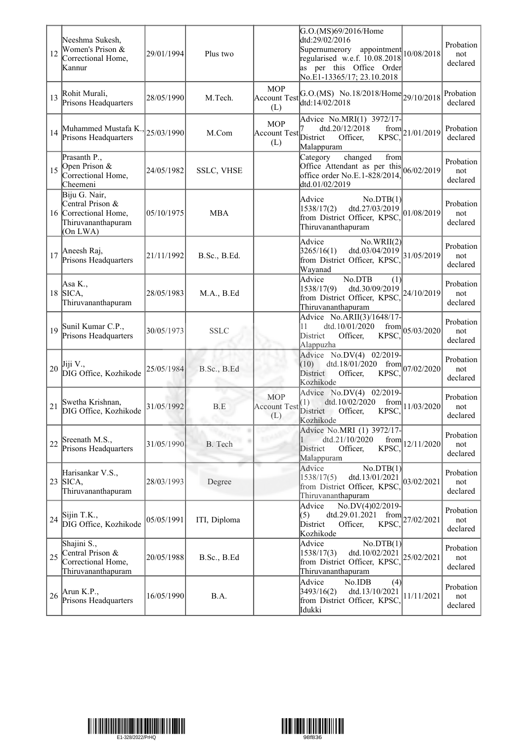| 12 | Neeshma Sukesh,<br>Women's Prison &<br>Correctional Home,<br>Kannur                          | 29/01/1994 | Plus two          |                                          | G.O.(MS)69/2016/Home<br>dtd:29/02/2016<br>Supernumerory<br>appointment<br>regularised w.e.f. 10.08.2018<br>as per this Office Order<br>No.E1-13365/17; 23.10.2018 | 10/08/2018                        | Probation<br>not<br>declared |
|----|----------------------------------------------------------------------------------------------|------------|-------------------|------------------------------------------|-------------------------------------------------------------------------------------------------------------------------------------------------------------------|-----------------------------------|------------------------------|
| 13 | Rohit Murali,<br>Prisons Headquarters                                                        | 28/05/1990 | M.Tech.           | <b>MOP</b><br><b>Account Test</b><br>(L) | G.O.(MS) No.18/2018/Home $_{29/10/2018}$<br>dtd:14/02/2018                                                                                                        |                                   | Probation<br>declared        |
| 14 | Muhammed Mustafa K., 25/03/1990<br>Prisons Headquarters                                      |            | M.Com             | <b>MOP</b><br><b>Account Test</b><br>(L) | Advice No.MRI(1) 3972/17-<br>dtd.20/12/2018<br>District<br>KPSC,<br>Officer,<br>Malappuram                                                                        | $\frac{\text{from}}{221/01/2019}$ | Probation<br>declared        |
| 15 | Prasanth P.,<br>Open Prison &<br>Correctional Home,<br>Cheemeni                              | 24/05/1982 | <b>SSLC, VHSE</b> |                                          | changed<br>Category<br>from<br>Office Attendant as per this<br>office order No.E.1-828/2014,<br>dtd.01/02/2019                                                    | 06/02/2019                        | Probation<br>not<br>declared |
|    | Biju G. Nair,<br>Central Prison &<br>16 Correctional Home,<br>Thiruvananthapuram<br>(On LWA) | 05/10/1975 | <b>MBA</b>        |                                          | Advice<br>No.DTB(1)<br>dtd.27/03/2019<br>1538/17(2)<br>from District Officer, KPSC,<br>Thiruvananthapuram                                                         | 01/08/2019                        | Probation<br>not<br>declared |
| 17 | Aneesh Raj,<br>Prisons Headquarters                                                          | 21/11/1992 | B.Sc., B.Ed.      |                                          | Advice<br>No.WRII(2)<br>3265/16(1)<br>dtd.03/04/2019<br>from District Officer, KPSC,<br>Wayanad                                                                   | 31/05/2019                        | Probation<br>not<br>declared |
| 18 | Asa K.,<br>SICA,<br>Thiruvananthapuram                                                       | 28/05/1983 | M.A., B.Ed        |                                          | Advice<br>No.DTB<br>(1)<br>dtd.30/09/2019<br>1538/17(9)<br>from District Officer, KPSC,<br>Thiruvananthapuram                                                     | 24/10/2019                        | Probation<br>not<br>declared |
| 19 | Sunil Kumar C.P.,<br>Prisons Headquarters                                                    | 30/05/1973 | <b>SSLC</b>       |                                          | Advice No.ARII(3)/1648/17-<br>dtd.10/01/2020<br>11<br>from<br>District<br>KPSC.<br>Officer,<br>Alappuzha                                                          | 05/03/2020                        | Probation<br>not<br>declared |
| 20 | Jiji V.,<br>DIG Office, Kozhikode                                                            | 25/05/1984 | B.Sc., B.Ed       |                                          | Advice No.DV(4) 02/2019-<br>dtd.18/01/2020<br>(10)<br>from<br>District<br>Officer,<br>KPSC,<br>Kozhikode                                                          | 07/02/2020                        | Probation<br>not<br>declared |
| 21 | Swetha Krishnan,<br>DIG Office, Kozhikode                                                    | 31/05/1992 | B.E               | <b>MOP</b><br><b>Account Test</b><br>(L) | Advice No.DV(4) 02/2019-<br>dtd.10/02/2020<br>from<br>(1)<br>District Officer,<br>KPSC,<br>Kozhikode                                                              | 11/03/2020                        | Probation<br>not<br>declared |
| 22 | Sreenath M.S.,<br>Prisons Headquarters                                                       | 31/05/1990 | B. Tech           |                                          | Advice No.MRI (1) 3972/17-<br>dtd.21/10/2020<br>from<br>KPSC.<br><b>District</b><br>Officer,<br>Malappuram                                                        | 12/11/2020                        | Probation<br>not<br>declared |
| 23 | Harisankar V.S.,<br>SICA,<br>Thiruvananthapuram                                              | 28/03/1993 | Degree            |                                          | Advice<br>No.DTB(1)<br>1538/17(5)<br>dtd.13/01/2021<br>from District Officer, KPSC,<br>Thiruvananthapuram                                                         | 03/02/2021                        | Probation<br>not<br>declared |
| 24 | Sijin T.K.,<br>DIG Office, Kozhikode                                                         | 05/05/1991 | ITI, Diploma      |                                          | Advice<br>No.DV(4)02/2019-<br>dtd.29.01.2021<br>(5)<br>from<br>District<br>Officer,<br>KPSC,<br>Kozhikode                                                         | 27/02/2021                        | Probation<br>not<br>declared |
| 25 | Shajini S.,<br>Central Prison &<br>Correctional Home,<br>Thiruvananthapuram                  | 20/05/1988 | B.Sc., B.Ed       |                                          | Advice<br>No.DTB(1)<br>1538/17(3)<br>dtd.10/02/2021<br>from District Officer, KPSC,<br>Thiruvananthapuram                                                         | 25/02/2021                        | Probation<br>not<br>declared |
| 26 | Arun K.P.,<br>Prisons Headquarters                                                           | 16/05/1990 | B.A.              |                                          | Advice<br>No.IDB<br>(4)<br>3493/16(2)<br>dtd.13/10/2021<br>from District Officer, KPSC,<br>Idukki                                                                 | 11/11/2021                        | Probation<br>not<br>declared |